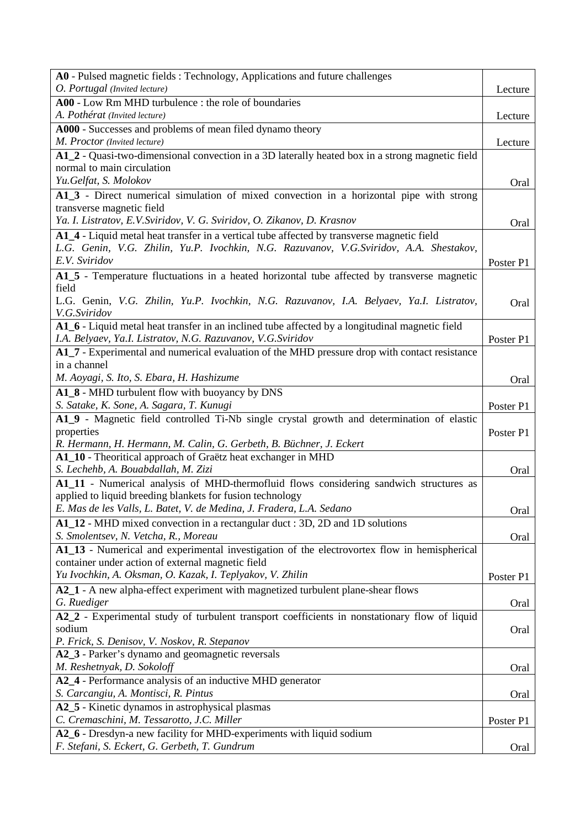| A0 - Pulsed magnetic fields : Technology, Applications and future challenges                    |           |
|-------------------------------------------------------------------------------------------------|-----------|
| O. Portugal (Invited lecture)                                                                   | Lecture   |
| A00 - Low Rm MHD turbulence : the role of boundaries                                            |           |
| A. Pothérat (Invited lecture)                                                                   | Lecture   |
| A000 - Successes and problems of mean filed dynamo theory                                       |           |
| M. Proctor (Invited lecture)                                                                    | Lecture   |
| A1_2 - Quasi-two-dimensional convection in a 3D laterally heated box in a strong magnetic field |           |
| normal to main circulation                                                                      |           |
| Yu.Gelfat, S. Molokov                                                                           | Oral      |
| A1_3 - Direct numerical simulation of mixed convection in a horizontal pipe with strong         |           |
| transverse magnetic field                                                                       |           |
| Ya. I. Listratov, E.V.Sviridov, V. G. Sviridov, O. Zikanov, D. Krasnov                          | Oral      |
| A1_4 - Liquid metal heat transfer in a vertical tube affected by transverse magnetic field      |           |
| L.G. Genin, V.G. Zhilin, Yu.P. Ivochkin, N.G. Razuvanov, V.G.Sviridov, A.A. Shestakov,          |           |
| E.V. Sviridov                                                                                   |           |
|                                                                                                 | Poster P1 |
| A1_5 - Temperature fluctuations in a heated horizontal tube affected by transverse magnetic     |           |
| field                                                                                           |           |
| L.G. Genin, V.G. Zhilin, Yu.P. Ivochkin, N.G. Razuvanov, I.A. Belyaev, Ya.I. Listratov,         | Oral      |
| V.G.Sviridov                                                                                    |           |
| A1_6 - Liquid metal heat transfer in an inclined tube affected by a longitudinal magnetic field |           |
| I.A. Belyaev, Ya.I. Listratov, N.G. Razuvanov, V.G. Sviridov                                    | Poster P1 |
| A1_7 - Experimental and numerical evaluation of the MHD pressure drop with contact resistance   |           |
| in a channel                                                                                    |           |
| M. Aoyagi, S. Ito, S. Ebara, H. Hashizume                                                       | Oral      |
| A1_8 - MHD turbulent flow with buoyancy by DNS                                                  |           |
| S. Satake, K. Sone, A. Sagara, T. Kunugi                                                        | Poster P1 |
| A1_9 - Magnetic field controlled Ti-Nb single crystal growth and determination of elastic       |           |
| properties                                                                                      | Poster P1 |
| R. Hermann, H. Hermann, M. Calin, G. Gerbeth, B. Büchner, J. Eckert                             |           |
| A1_10 - Theoritical approach of Graëtz heat exchanger in MHD                                    |           |
| S. Lechehb, A. Bouabdallah, M. Zizi                                                             | Oral      |
| A1_11 - Numerical analysis of MHD-thermofluid flows considering sandwich structures as          |           |
| applied to liquid breeding blankets for fusion technology                                       |           |
| E. Mas de les Valls, L. Batet, V. de Medina, J. Fradera, L.A. Sedano                            | Oral      |
| A1_12 - MHD mixed convection in a rectangular duct : 3D, 2D and 1D solutions                    |           |
| S. Smolentsev, N. Vetcha, R., Moreau                                                            | Oral      |
| A1_13 - Numerical and experimental investigation of the electrovortex flow in hemispherical     |           |
| container under action of external magnetic field                                               |           |
| Yu Ivochkin, A. Oksman, O. Kazak, I. Teplyakov, V. Zhilin                                       | Poster P1 |
| A2_1 - A new alpha-effect experiment with magnetized turbulent plane-shear flows                |           |
| G. Ruediger                                                                                     | Oral      |
| A2_2 - Experimental study of turbulent transport coefficients in nonstationary flow of liquid   |           |
| sodium                                                                                          | Oral      |
| P. Frick, S. Denisov, V. Noskov, R. Stepanov                                                    |           |
| A2_3 - Parker's dynamo and geomagnetic reversals                                                |           |
| M. Reshetnyak, D. Sokoloff                                                                      | Oral      |
| A2_4 - Performance analysis of an inductive MHD generator                                       |           |
| S. Carcangiu, A. Montisci, R. Pintus                                                            | Oral      |
| A2_5 - Kinetic dynamos in astrophysical plasmas                                                 |           |
| C. Cremaschini, M. Tessarotto, J.C. Miller                                                      | Poster P1 |
| A2_6 - Dresdyn-a new facility for MHD-experiments with liquid sodium                            |           |
| F. Stefani, S. Eckert, G. Gerbeth, T. Gundrum                                                   | Oral      |
|                                                                                                 |           |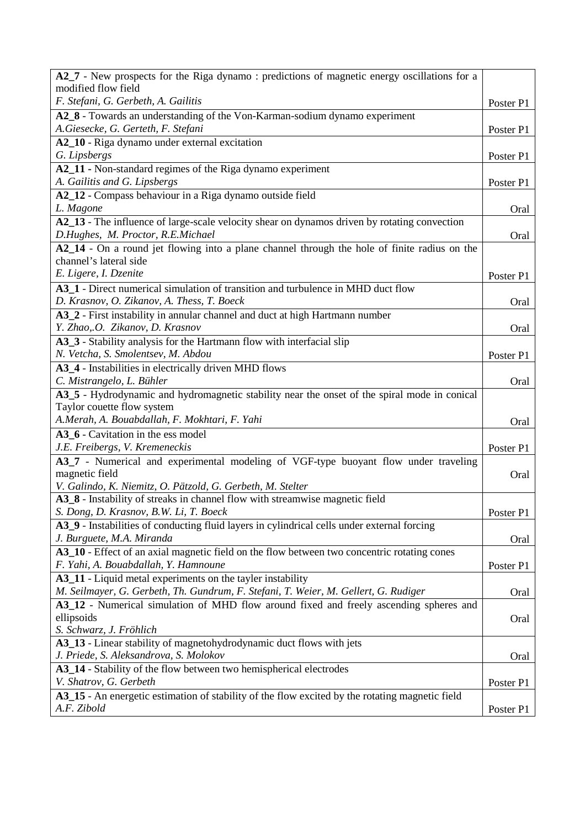| A2_7 - New prospects for the Riga dynamo: predictions of magnetic energy oscillations for a                                         |           |
|-------------------------------------------------------------------------------------------------------------------------------------|-----------|
| modified flow field<br>F. Stefani, G. Gerbeth, A. Gailitis                                                                          |           |
| A2_8 - Towards an understanding of the Von-Karman-sodium dynamo experiment                                                          | Poster P1 |
| A.Giesecke, G. Gerteth, F. Stefani                                                                                                  | Poster P1 |
| A2_10 - Riga dynamo under external excitation                                                                                       |           |
| G. Lipsbergs                                                                                                                        | Poster P1 |
| A2_11 - Non-standard regimes of the Riga dynamo experiment                                                                          |           |
| A. Gailitis and G. Lipsbergs                                                                                                        | Poster P1 |
| A2_12 - Compass behaviour in a Riga dynamo outside field                                                                            |           |
| L. Magone                                                                                                                           | Oral      |
| A2_13 - The influence of large-scale velocity shear on dynamos driven by rotating convection<br>D.Hughes, M. Proctor, R.E.Michael   | Oral      |
| A2_14 - On a round jet flowing into a plane channel through the hole of finite radius on the                                        |           |
| channel's lateral side                                                                                                              |           |
| E. Ligere, I. Dzenite                                                                                                               | Poster P1 |
| A3_1 - Direct numerical simulation of transition and turbulence in MHD duct flow                                                    |           |
| D. Krasnov, O. Zikanov, A. Thess, T. Boeck                                                                                          | Oral      |
| A3_2 - First instability in annular channel and duct at high Hartmann number                                                        |           |
| Y. Zhao,.O. Zikanov, D. Krasnov                                                                                                     | Oral      |
| A3_3 - Stability analysis for the Hartmann flow with interfacial slip                                                               |           |
| N. Vetcha, S. Smolentsev, M. Abdou                                                                                                  | Poster P1 |
| A3_4 - Instabilities in electrically driven MHD flows                                                                               |           |
| C. Mistrangelo, L. Bühler<br>A3_5 - Hydrodynamic and hydromagnetic stability near the onset of the spiral mode in conical           | Oral      |
| Taylor couette flow system                                                                                                          |           |
| A.Merah, A. Bouabdallah, F. Mokhtari, F. Yahi                                                                                       | Oral      |
| A3_6 - Cavitation in the ess model                                                                                                  |           |
| J.E. Freibergs, V. Kremeneckis                                                                                                      | Poster P1 |
| A3_7 - Numerical and experimental modeling of VGF-type buoyant flow under traveling                                                 |           |
| magnetic field                                                                                                                      | Oral      |
| V. Galindo, K. Niemitz, O. Pätzold, G. Gerbeth, M. Stelter                                                                          |           |
| A3_8 - Instability of streaks in channel flow with streamwise magnetic field                                                        |           |
| S. Dong, D. Krasnov, B.W. Li, T. Boeck                                                                                              | Poster P1 |
| A3_9 - Instabilities of conducting fluid layers in cylindrical cells under external forcing                                         |           |
| J. Burguete, M.A. Miranda                                                                                                           | Oral      |
| A3_10 - Effect of an axial magnetic field on the flow between two concentric rotating cones<br>F. Yahi, A. Bouabdallah, Y. Hamnoune | Poster P1 |
| A3_11 - Liquid metal experiments on the tayler instability                                                                          |           |
| M. Seilmayer, G. Gerbeth, Th. Gundrum, F. Stefani, T. Weier, M. Gellert, G. Rudiger                                                 | Oral      |
| A3_12 - Numerical simulation of MHD flow around fixed and freely ascending spheres and                                              |           |
| ellipsoids                                                                                                                          | Oral      |
| S. Schwarz, J. Fröhlich                                                                                                             |           |
| A3_13 - Linear stability of magnetohydrodynamic duct flows with jets                                                                |           |
| J. Priede, S. Aleksandrova, S. Molokov                                                                                              | Oral      |
| A3_14 - Stability of the flow between two hemispherical electrodes                                                                  |           |
| V. Shatrov, G. Gerbeth                                                                                                              | Poster P1 |
| A3_15 - An energetic estimation of stability of the flow excited by the rotating magnetic field                                     |           |
| A.F. Zibold                                                                                                                         | Poster P1 |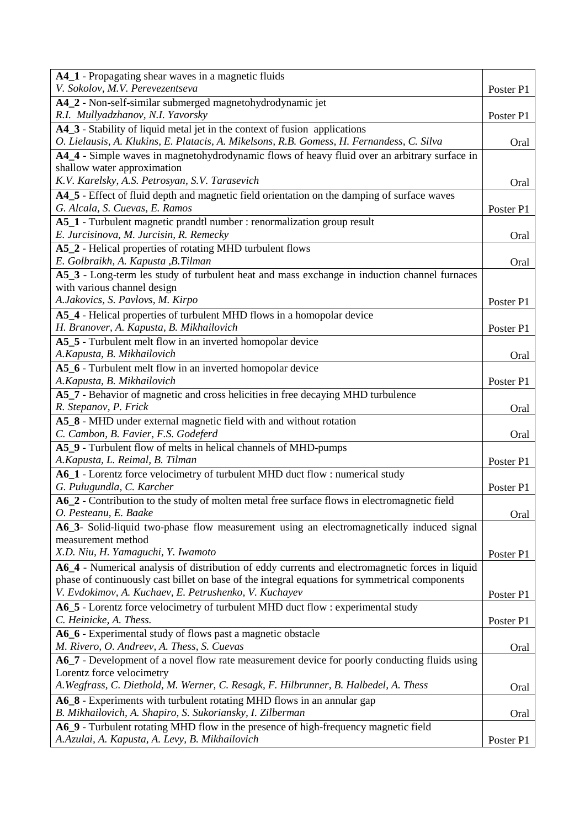| A4_1 - Propagating shear waves in a magnetic fluids                                             |           |
|-------------------------------------------------------------------------------------------------|-----------|
| V. Sokolov, M.V. Perevezentseva                                                                 | Poster P1 |
| A4_2 - Non-self-similar submerged magnetohydrodynamic jet                                       |           |
| R.I. Mullyadzhanov, N.I. Yavorsky                                                               | Poster P1 |
| A4_3 - Stability of liquid metal jet in the context of fusion applications                      |           |
| O. Lielausis, A. Klukins, E. Platacis, A. Mikelsons, R.B. Gomess, H. Fernandess, C. Silva       | Oral      |
| A4_4 - Simple waves in magnetohydrodynamic flows of heavy fluid over an arbitrary surface in    |           |
| shallow water approximation                                                                     |           |
| K.V. Karelsky, A.S. Petrosyan, S.V. Tarasevich                                                  | Oral      |
| A4_5 - Effect of fluid depth and magnetic field orientation on the damping of surface waves     |           |
| G. Alcala, S. Cuevas, E. Ramos                                                                  | Poster P1 |
| A5_1 - Turbulent magnetic prandtl number : renormalization group result                         |           |
| E. Jurcisinova, M. Jurcisin, R. Remecky                                                         | Oral      |
| A5_2 - Helical properties of rotating MHD turbulent flows                                       |           |
| E. Golbraikh, A. Kapusta , B. Tilman                                                            | Oral      |
| A5_3 - Long-term les study of turbulent heat and mass exchange in induction channel furnaces    |           |
| with various channel design                                                                     |           |
| A.Jakovics, S. Pavlovs, M. Kirpo                                                                | Poster P1 |
| A5_4 - Helical properties of turbulent MHD flows in a homopolar device                          |           |
| H. Branover, A. Kapusta, B. Mikhailovich                                                        | Poster P1 |
| A5_5 - Turbulent melt flow in an inverted homopolar device                                      |           |
| A.Kapusta, B. Mikhailovich                                                                      | Oral      |
| A5_6 - Turbulent melt flow in an inverted homopolar device                                      |           |
| A.Kapusta, B. Mikhailovich                                                                      | Poster P1 |
| A5_7 - Behavior of magnetic and cross helicities in free decaying MHD turbulence                |           |
| R. Stepanov, P. Frick                                                                           | Oral      |
| A5_8 - MHD under external magnetic field with and without rotation                              |           |
| C. Cambon, B. Favier, F.S. Godeferd                                                             | Oral      |
| A5_9 - Turbulent flow of melts in helical channels of MHD-pumps                                 |           |
| A. Kapusta, L. Reimal, B. Tilman                                                                | Poster P1 |
| A6_1 - Lorentz force velocimetry of turbulent MHD duct flow : numerical study                   |           |
| G. Pulugundla, C. Karcher                                                                       | Poster P1 |
| A6_2 - Contribution to the study of molten metal free surface flows in electromagnetic field    |           |
| O. Pesteanu, E. Baake                                                                           | Oral      |
| A6_3- Solid-liquid two-phase flow measurement using an electromagnetically induced signal       |           |
| measurement method                                                                              |           |
| X.D. Niu, H. Yamaguchi, Y. Iwamoto                                                              | Poster P1 |
| A6_4 - Numerical analysis of distribution of eddy currents and electromagnetic forces in liquid |           |
| phase of continuously cast billet on base of the integral equations for symmetrical components  |           |
| V. Evdokimov, A. Kuchaev, E. Petrushenko, V. Kuchayev                                           | Poster P1 |
| A6_5 - Lorentz force velocimetry of turbulent MHD duct flow : experimental study                |           |
| C. Heinicke, A. Thess.                                                                          | Poster P1 |
| A6_6 - Experimental study of flows past a magnetic obstacle                                     |           |
| M. Rivero, O. Andreev, A. Thess, S. Cuevas                                                      | Oral      |
| A6_7 - Development of a novel flow rate measurement device for poorly conducting fluids using   |           |
| Lorentz force velocimetry                                                                       |           |
| A. Wegfrass, C. Diethold, M. Werner, C. Resagk, F. Hilbrunner, B. Halbedel, A. Thess            | Oral      |
| A6_8 - Experiments with turbulent rotating MHD flows in an annular gap                          |           |
| B. Mikhailovich, A. Shapiro, S. Sukoriansky, I. Zilberman                                       | Oral      |
| A6_9 - Turbulent rotating MHD flow in the presence of high-frequency magnetic field             |           |
| A.Azulai, A. Kapusta, A. Levy, B. Mikhailovich                                                  | Poster P1 |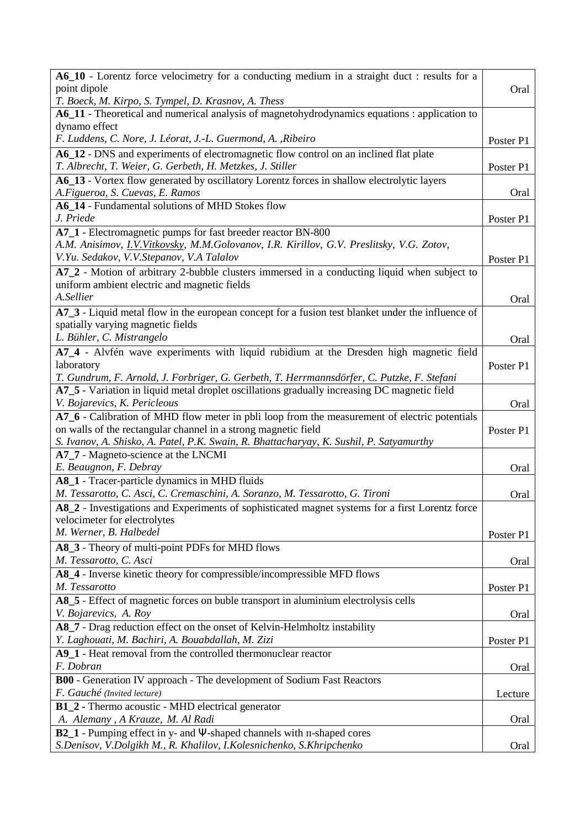| A6_10 - Lorentz force velocimetry for a conducting medium in a straight duct : results for a                                    |           |
|---------------------------------------------------------------------------------------------------------------------------------|-----------|
| point dipole                                                                                                                    | Oral      |
| T. Boeck, M. Kirpo, S. Tympel, D. Krasnov, A. Thess                                                                             |           |
| A6_11 - Theoretical and numerical analysis of magnetohydrodynamics equations : application to<br>dynamo effect                  |           |
| F. Luddens, C. Nore, J. Léorat, J.-L. Guermond, A., Ribeiro                                                                     | Poster P1 |
| A6_12 - DNS and experiments of electromagnetic flow control on an inclined flat plate                                           |           |
| T. Albrecht, T. Weier, G. Gerbeth, H. Metzkes, J. Stiller                                                                       | Poster P1 |
| A6_13 - Vortex flow generated by oscillatory Lorentz forces in shallow electrolytic layers                                      |           |
| A.Figueroa, S. Cuevas, E. Ramos                                                                                                 | Oral      |
| A6_14 - Fundamental solutions of MHD Stokes flow                                                                                |           |
| J. Priede                                                                                                                       | Poster P1 |
| A7_1 - Electromagnetic pumps for fast breeder reactor BN-800                                                                    |           |
| A.M. Anisimov, I.V.Vitkovsky, M.M.Golovanov, I.R. Kirillov, G.V. Preslitsky, V.G. Zotov,                                        |           |
| V.Yu. Sedakov, V.V.Stepanov, V.A Talalov                                                                                        | Poster P1 |
| A7_2 - Motion of arbitrary 2-bubble clusters immersed in a conducting liquid when subject to                                    |           |
| uniform ambient electric and magnetic fields                                                                                    |           |
| A.Sellier                                                                                                                       | Oral      |
| A7_3 - Liquid metal flow in the european concept for a fusion test blanket under the influence of                               |           |
| spatially varying magnetic fields                                                                                               |           |
| L. Bühler, C. Mistrangelo                                                                                                       | Oral      |
| A7_4 - Alvfén wave experiments with liquid rubidium at the Dresden high magnetic field                                          |           |
| laboratory                                                                                                                      | Poster P1 |
| T. Gundrum, F. Arnold, J. Forbriger, G. Gerbeth, T. Herrmannsdörfer, C. Putzke, F. Stefani                                      |           |
| A7_5 - Variation in liquid metal droplet oscillations gradually increasing DC magnetic field                                    |           |
| V. Bojarevics, K. Pericleous                                                                                                    | Oral      |
| A7_6 - Calibration of MHD flow meter in pbli loop from the measurement of electric potentials                                   |           |
| on walls of the rectangular channel in a strong magnetic field                                                                  | Poster P1 |
| S. Ivanov, A. Shisko, A. Patel, P.K. Swain, R. Bhattacharyay, K. Sushil, P. Satyamurthy                                         |           |
| A7_7 - Magneto-science at the LNCMI                                                                                             |           |
| E. Beaugnon, F. Debray                                                                                                          | Oral      |
| A8_1 - Tracer-particle dynamics in MHD fluids                                                                                   |           |
| M. Tessarotto, C. Asci, C. Cremaschini, A. Soranzo, M. Tessarotto, G. Tironi                                                    | Oral      |
| A8_2 - Investigations and Experiments of sophisticated magnet systems for a first Lorentz force<br>velocimeter for electrolytes |           |
| M. Werner, B. Halbedel                                                                                                          |           |
|                                                                                                                                 | Poster P1 |
| A8_3 - Theory of multi-point PDFs for MHD flows<br>M. Tessarotto, C. Asci                                                       | Oral      |
| A8_4 - Inverse kinetic theory for compressible/incompressible MFD flows                                                         |           |
| M. Tessarotto                                                                                                                   | Poster P1 |
| A8_5 - Effect of magnetic forces on buble transport in aluminium electrolysis cells                                             |           |
| V. Bojarevics, A. Roy                                                                                                           | Oral      |
| A8_7 - Drag reduction effect on the onset of Kelvin-Helmholtz instability                                                       |           |
| Y. Laghouati, M. Bachiri, A. Bouabdallah, M. Zizi                                                                               | Poster P1 |
| A9_1 - Heat removal from the controlled thermonuclear reactor                                                                   |           |
| F. Dobran                                                                                                                       | Oral      |
| <b>B00</b> - Generation IV approach - The development of Sodium Fast Reactors                                                   |           |
| F. Gauché (Invited lecture)                                                                                                     | Lecture   |
| <b>B1_2</b> - Thermo acoustic - MHD electrical generator                                                                        |           |
| A. Alemany, A Krauze, M. Al Radi                                                                                                | Oral      |
| B2_1 - Pumping effect in y- and Y-shaped channels with n-shaped cores                                                           |           |
| S.Denisov, V.Dolgikh M., R. Khalilov, I.Kolesnichenko, S.Khripchenko                                                            | Oral      |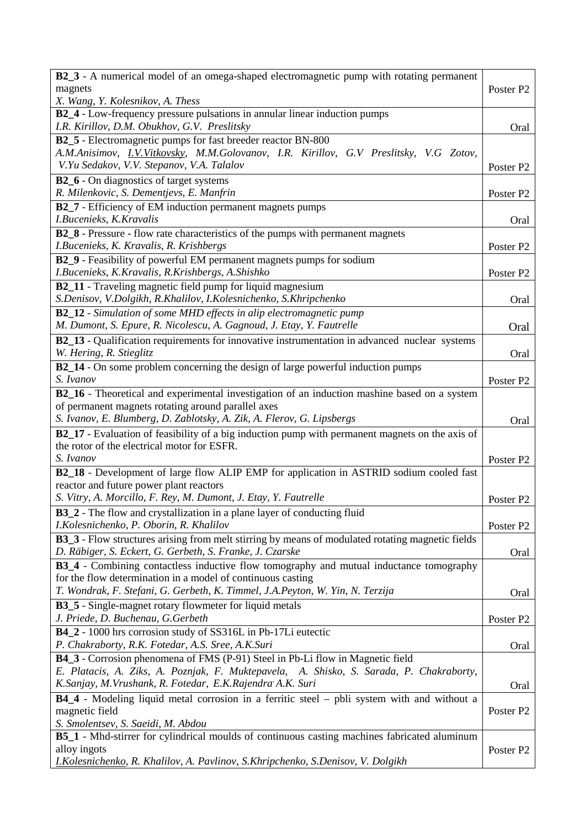| B2_3 - A numerical model of an omega-shaped electromagnetic pump with rotating permanent                |                       |
|---------------------------------------------------------------------------------------------------------|-----------------------|
| magnets                                                                                                 | Poster P <sub>2</sub> |
| X. Wang, Y. Kolesnikov, A. Thess                                                                        |                       |
| B2_4 - Low-frequency pressure pulsations in annular linear induction pumps                              |                       |
| I.R. Kirillov, D.M. Obukhov, G.V. Preslitsky                                                            | Oral                  |
| B2_5 - Electromagnetic pumps for fast breeder reactor BN-800                                            |                       |
| A.M.Anisimov, I.V.Vitkovsky, M.M.Golovanov, I.R. Kirillov, G.V Preslitsky, V.G Zotov,                   |                       |
| V.Yu Sedakov, V.V. Stepanov, V.A. Talalov                                                               | Poster P <sub>2</sub> |
| <b>B2_6</b> - On diagnostics of target systems                                                          |                       |
| R. Milenkovic, S. Dementjevs, E. Manfrin                                                                | Poster P <sub>2</sub> |
| <b>B2_7</b> - Efficiency of EM induction permanent magnets pumps                                        |                       |
| I.Bucenieks, K.Kravalis                                                                                 | Oral                  |
| B2_8 - Pressure - flow rate characteristics of the pumps with permanent magnets                         |                       |
| I.Bucenieks, K. Kravalis, R. Krishbergs                                                                 | Poster P <sub>2</sub> |
| B2_9 - Feasibility of powerful EM permanent magnets pumps for sodium                                    |                       |
| I.Bucenieks, K.Kravalis, R.Krishbergs, A.Shishko                                                        | Poster P <sub>2</sub> |
| <b>B2_11</b> - Traveling magnetic field pump for liquid magnesium                                       |                       |
| S.Denisov, V.Dolgikh, R.Khalilov, I.Kolesnichenko, S.Khripchenko                                        | Oral                  |
| <b>B2_12</b> - Simulation of some MHD effects in alip electromagnetic pump                              |                       |
| M. Dumont, S. Epure, R. Nicolescu, A. Gagnoud, J. Etay, Y. Fautrelle                                    | Oral                  |
| B2_13 - Qualification requirements for innovative instrumentation in advanced nuclear systems           |                       |
| W. Hering, R. Stieglitz                                                                                 | Oral                  |
| <b>B2_14</b> - On some problem concerning the design of large powerful induction pumps                  |                       |
| S. Ivanov                                                                                               | Poster P <sub>2</sub> |
| B2_16 - Theoretical and experimental investigation of an induction mashine based on a system            |                       |
| of permanent magnets rotating around parallel axes                                                      |                       |
| S. Ivanov, E. Blumberg, D. Zablotsky, A. Zik, A. Flerov, G. Lipsbergs                                   | Oral                  |
| B2_17 - Evaluation of feasibility of a big induction pump with permanent magnets on the axis of         |                       |
| the rotor of the electrical motor for ESFR.                                                             |                       |
| S. Ivanov                                                                                               | Poster P <sub>2</sub> |
| B2_18 - Development of large flow ALIP EMP for application in ASTRID sodium cooled fast                 |                       |
| reactor and future power plant reactors                                                                 |                       |
| S. Vitry, A. Morcillo, F. Rey, M. Dumont, J. Etay, Y. Fautrelle                                         | Poster P <sub>2</sub> |
| B3_2 - The flow and crystallization in a plane layer of conducting fluid                                |                       |
| I.Kolesnichenko, P. Oborin, R. Khalilov                                                                 | Poster P <sub>2</sub> |
| <b>B3_3</b> - Flow structures arising from melt stirring by means of modulated rotating magnetic fields |                       |
| D. Räbiger, S. Eckert, G. Gerbeth, S. Franke, J. Czarske                                                | Oral                  |
| <b>B3_4</b> - Combining contactless inductive flow tomography and mutual inductance tomography          |                       |
| for the flow determination in a model of continuous casting                                             |                       |
| T. Wondrak, F. Stefani, G. Gerbeth, K. Timmel, J.A. Peyton, W. Yin, N. Terzija                          | Oral                  |
| <b>B3_5</b> - Single-magnet rotary flowmeter for liquid metals                                          |                       |
| J. Priede, D. Buchenau, G. Gerbeth                                                                      | Poster P <sub>2</sub> |
| B4_2 - 1000 hrs corrosion study of SS316L in Pb-17Li eutectic                                           |                       |
| P. Chakraborty, R.K. Fotedar, A.S. Sree, A.K.Suri                                                       | Oral                  |
| B4_3 - Corrosion phenomena of FMS (P-91) Steel in Pb-Li flow in Magnetic field                          |                       |
| E. Platacis, A. Ziks, A. Poznjak, F. Muktepavela, A. Shisko, S. Sarada, P. Chakraborty,                 |                       |
| K.Sanjay, M.Vrushank, R. Fotedar, E.K.Rajendra A.K. Suri                                                | Oral                  |
| B4_4 - Modeling liquid metal corrosion in a ferritic steel – pbli system with and without a             |                       |
| magnetic field                                                                                          | Poster P2             |
| S. Smolentsev, S. Saeidi, M. Abdou                                                                      |                       |
| B5_1 - Mhd-stirrer for cylindrical moulds of continuous casting machines fabricated aluminum            |                       |
| alloy ingots                                                                                            | Poster P <sub>2</sub> |
| I.Kolesnichenko, R. Khalilov, A. Pavlinov, S.Khripchenko, S.Denisov, V. Dolgikh                         |                       |
|                                                                                                         |                       |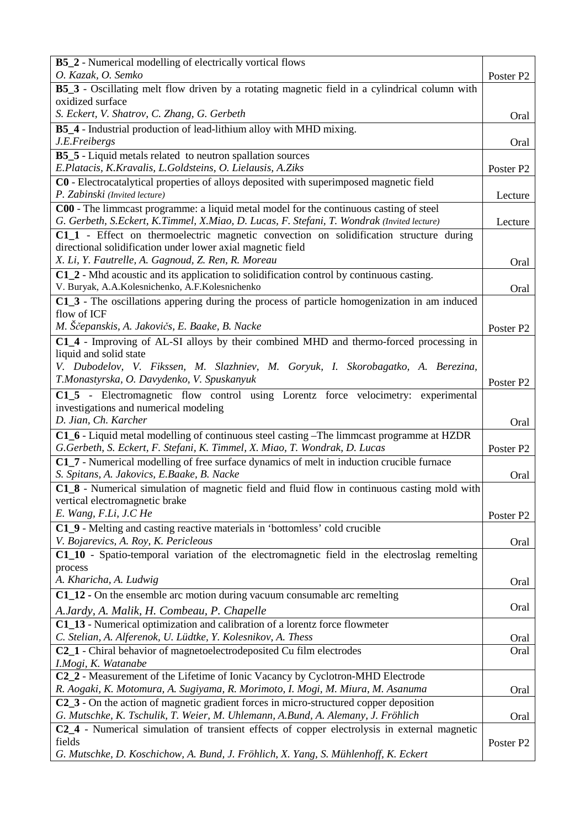| <b>B5_2</b> - Numerical modelling of electrically vortical flows                                                                                                                     |                       |
|--------------------------------------------------------------------------------------------------------------------------------------------------------------------------------------|-----------------------|
| O. Kazak, O. Semko<br>B5_3 - Oscillating melt flow driven by a rotating magnetic field in a cylindrical column with                                                                  | Poster P <sub>2</sub> |
| oxidized surface                                                                                                                                                                     |                       |
| S. Eckert, V. Shatrov, C. Zhang, G. Gerbeth                                                                                                                                          | Oral                  |
| B5_4 - Industrial production of lead-lithium alloy with MHD mixing.                                                                                                                  |                       |
| J.E.Freibergs                                                                                                                                                                        | Oral                  |
| <b>B5_5</b> - Liquid metals related to neutron spallation sources                                                                                                                    |                       |
| E.Platacis, K.Kravalis, L.Goldsteins, O. Lielausis, A.Ziks                                                                                                                           | Poster P <sub>2</sub> |
| C0 - Electrocatalytical properties of alloys deposited with superimposed magnetic field<br>P. Zabinski (Invited lecture)                                                             | Lecture               |
| C00 - The limmcast programme: a liquid metal model for the continuous casting of steel<br>G. Gerbeth, S.Eckert, K.Timmel, X.Miao, D. Lucas, F. Stefani, T. Wondrak (Invited lecture) | Lecture               |
| C1_1 - Effect on thermoelectric magnetic convection on solidification structure during<br>directional solidification under lower axial magnetic field                                |                       |
| X. Li, Y. Fautrelle, A. Gagnoud, Z. Ren, R. Moreau                                                                                                                                   | Oral                  |
| $C1_2$ - Mhd acoustic and its application to solidification control by continuous casting.                                                                                           |                       |
| V. Buryak, A.A.Kolesnichenko, A.F.Kolesnichenko                                                                                                                                      | Oral                  |
| C1_3 - The oscillations appering during the process of particle homogenization in am induced<br>flow of ICF                                                                          |                       |
| M. Ščepanskis, A. Jakovičs, E. Baake, B. Nacke                                                                                                                                       | Poster P <sub>2</sub> |
| C1_4 - Improving of AL-SI alloys by their combined MHD and thermo-forced processing in                                                                                               |                       |
| liquid and solid state<br>V. Dubodelov, V. Fikssen, M. Slazhniev, M. Goryuk, I. Skorobagatko, A. Berezina,                                                                           |                       |
| T.Monastyrska, O. Davydenko, V. Spuskanyuk                                                                                                                                           | Poster P <sub>2</sub> |
| C1_5 - Electromagnetic flow control using Lorentz force velocimetry: experimental                                                                                                    |                       |
| investigations and numerical modeling                                                                                                                                                |                       |
| D. Jian, Ch. Karcher                                                                                                                                                                 | Oral                  |
| C1_6 - Liquid metal modelling of continuous steel casting -The limmcast programme at HZDR<br>G.Gerbeth, S. Eckert, F. Stefani, K. Timmel, X. Miao, T. Wondrak, D. Lucas              | Poster P <sub>2</sub> |
| C1_7 - Numerical modelling of free surface dynamics of melt in induction crucible furnace<br>S. Spitans, A. Jakovics, E.Baake, B. Nacke                                              | Oral                  |
| C1_8 - Numerical simulation of magnetic field and fluid flow in continuous casting mold with                                                                                         |                       |
| vertical electromagnetic brake                                                                                                                                                       |                       |
| E. Wang, F.Li, J.C He                                                                                                                                                                | Poster P <sub>2</sub> |
| C1_9 - Melting and casting reactive materials in 'bottomless' cold crucible                                                                                                          |                       |
| V. Bojarevics, A. Roy, K. Pericleous                                                                                                                                                 | Oral                  |
| C1_10 - Spatio-temporal variation of the electromagnetic field in the electroslag remelting<br>process                                                                               |                       |
| A. Kharicha, A. Ludwig                                                                                                                                                               | Oral                  |
| $C1_12$ - On the ensemble arc motion during vacuum consumable arc remelting                                                                                                          |                       |
| A.Jardy, A. Malik, H. Combeau, P. Chapelle                                                                                                                                           | Oral                  |
| C1_13 - Numerical optimization and calibration of a lorentz force flowmeter                                                                                                          |                       |
| C. Stelian, A. Alferenok, U. Lüdtke, Y. Kolesnikov, A. Thess                                                                                                                         | Oral                  |
| C2_1 - Chiral behavior of magnetoelectrodeposited Cu film electrodes<br>I.Mogi, K. Watanabe                                                                                          | Oral                  |
| C2_2 - Measurement of the Lifetime of Ionic Vacancy by Cyclotron-MHD Electrode                                                                                                       |                       |
| R. Aogaki, K. Motomura, A. Sugiyama, R. Morimoto, I. Mogi, M. Miura, M. Asanuma                                                                                                      | Oral                  |
| C2_3 - On the action of magnetic gradient forces in micro-structured copper deposition                                                                                               |                       |
| G. Mutschke, K. Tschulik, T. Weier, M. Uhlemann, A.Bund, A. Alemany, J. Fröhlich                                                                                                     | Oral                  |
| C2_4 - Numerical simulation of transient effects of copper electrolysis in external magnetic<br>fields                                                                               | Poster P <sub>2</sub> |
| G. Mutschke, D. Koschichow, A. Bund, J. Fröhlich, X. Yang, S. Mühlenhoff, K. Eckert                                                                                                  |                       |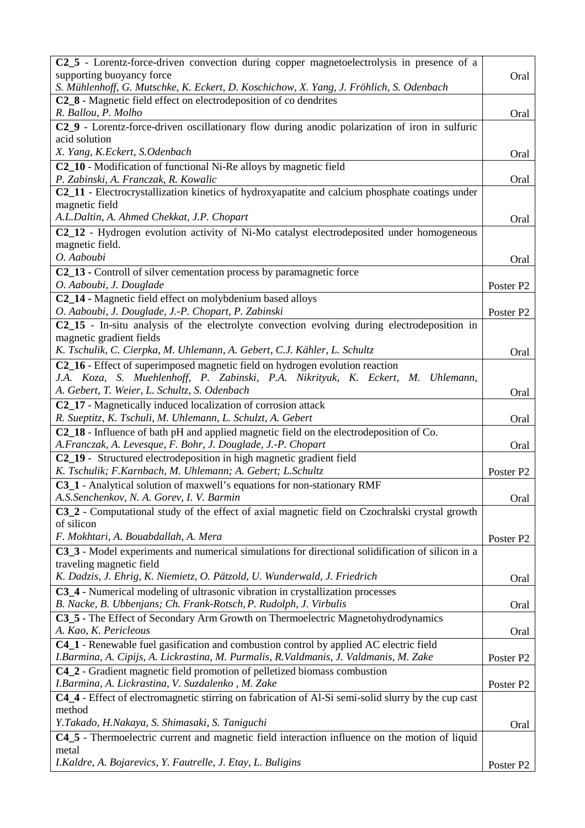| C2_5 - Lorentz-force-driven convection during copper magnetoelectrolysis in presence of a<br>supporting buoyancy force<br>S. Mühlenhoff, G. Mutschke, K. Eckert, D. Koschichow, X. Yang, J. Fröhlich, S. Odenbach | Oral                  |
|-------------------------------------------------------------------------------------------------------------------------------------------------------------------------------------------------------------------|-----------------------|
| C2_8 - Magnetic field effect on electrodeposition of co dendrites<br>R. Ballou, P. Molho                                                                                                                          | Oral                  |
| C2_9 - Lorentz-force-driven oscillationary flow during anodic polarization of iron in sulfuric                                                                                                                    |                       |
| acid solution<br>X. Yang, K.Eckert, S.Odenbach                                                                                                                                                                    | Oral                  |
| C2_10 - Modification of functional Ni-Re alloys by magnetic field                                                                                                                                                 |                       |
| P. Zabinski, A. Franczak, R. Kowalic<br>C2_11 - Electrocrystallization kinetics of hydroxyapatite and calcium phosphate coatings under                                                                            | Oral                  |
| magnetic field                                                                                                                                                                                                    |                       |
| A.L.Daltin, A. Ahmed Chekkat, J.P. Chopart<br>C2_12 - Hydrogen evolution activity of Ni-Mo catalyst electrodeposited under homogeneous                                                                            | Oral                  |
| magnetic field.                                                                                                                                                                                                   |                       |
| O. Aaboubi                                                                                                                                                                                                        | Oral                  |
| C2_13 - Controll of silver cementation process by paramagnetic force                                                                                                                                              |                       |
| O. Aaboubi, J. Douglade                                                                                                                                                                                           | Poster P2             |
| C2_14 - Magnetic field effect on molybdenium based alloys<br>O. Aaboubi, J. Douglade, J.-P. Chopart, P. Zabinski                                                                                                  | Poster P <sub>2</sub> |
| C2_15 - In-situ analysis of the electrolyte convection evolving during electrodeposition in                                                                                                                       |                       |
| magnetic gradient fields                                                                                                                                                                                          |                       |
| K. Tschulik, C. Cierpka, M. Uhlemann, A. Gebert, C.J. Kähler, L. Schultz                                                                                                                                          | Oral                  |
| C2_16 - Effect of superimposed magnetic field on hydrogen evolution reaction                                                                                                                                      |                       |
| J.A. Koza, S. Muehlenhoff, P. Zabinski, P.A. Nikrityuk, K. Eckert, M. Uhlemann,<br>A. Gebert, T. Weier, L. Schultz, S. Odenbach                                                                                   |                       |
| C2_17 - Magnetically induced localization of corrosion attack                                                                                                                                                     | Oral                  |
| R. Sueptitz, K. Tschuli, M. Uhlemann, L. Schulzt, A. Gebert                                                                                                                                                       | Oral                  |
| C2_18 - Influence of bath pH and applied magnetic field on the electrodeposition of Co.                                                                                                                           |                       |
| A.Franczak, A. Levesque, F. Bohr, J. Douglade, J.-P. Chopart                                                                                                                                                      | Oral                  |
| C2_19 - Structured electrodeposition in high magnetic gradient field<br>K. Tschulik; F.Karnbach, M. Uhlemann; A. Gebert; L.Schultz                                                                                | Poster P <sub>2</sub> |
| C3_1 - Analytical solution of maxwell's equations for non-stationary RMF                                                                                                                                          |                       |
| A.S.Senchenkov, N. A. Gorev, I. V. Barmin                                                                                                                                                                         | Oral                  |
| C3_2 - Computational study of the effect of axial magnetic field on Czochralski crystal growth                                                                                                                    |                       |
| of silicon                                                                                                                                                                                                        |                       |
| F. Mokhtari, A. Bouabdallah, A. Mera                                                                                                                                                                              | Poster P <sub>2</sub> |
| C3_3 - Model experiments and numerical simulations for directional solidification of silicon in a<br>traveling magnetic field                                                                                     |                       |
| K. Dadzis, J. Ehrig, K. Niemietz, O. Pätzold, U. Wunderwald, J. Friedrich                                                                                                                                         | Oral                  |
| C3_4 - Numerical modeling of ultrasonic vibration in crystallization processes                                                                                                                                    |                       |
| B. Nacke, B. Ubbenjans; Ch. Frank-Rotsch, P. Rudolph, J. Virbulis                                                                                                                                                 | Oral                  |
| C3_5 - The Effect of Secondary Arm Growth on Thermoelectric Magnetohydrodynamics                                                                                                                                  |                       |
| A. Kao, K. Pericleous<br><b>C4_1</b> - Renewable fuel gasification and combustion control by applied AC electric field                                                                                            | Oral                  |
| I.Barmina, A. Cipijs, A. Lickrastina, M. Purmalis, R. Valdmanis, J. Valdmanis, M. Zake                                                                                                                            | Poster P <sub>2</sub> |
| C4_2 - Gradient magnetic field promotion of pelletized biomass combustion                                                                                                                                         |                       |
| I.Barmina, A. Lickrastina, V. Suzdalenko, M. Zake                                                                                                                                                                 | Poster P <sub>2</sub> |
| C4_4 - Effect of electromagnetic stirring on fabrication of Al-Si semi-solid slurry by the cup cast<br>method                                                                                                     |                       |
| Y.Takado, H.Nakaya, S. Shimasaki, S. Taniguchi                                                                                                                                                                    | Oral                  |
| C4_5 - Thermoelectric current and magnetic field interaction influence on the motion of liquid                                                                                                                    |                       |
| metal                                                                                                                                                                                                             |                       |
| I.Kaldre, A. Bojarevics, Y. Fautrelle, J. Etay, L. Buligins                                                                                                                                                       | Poster P <sub>2</sub> |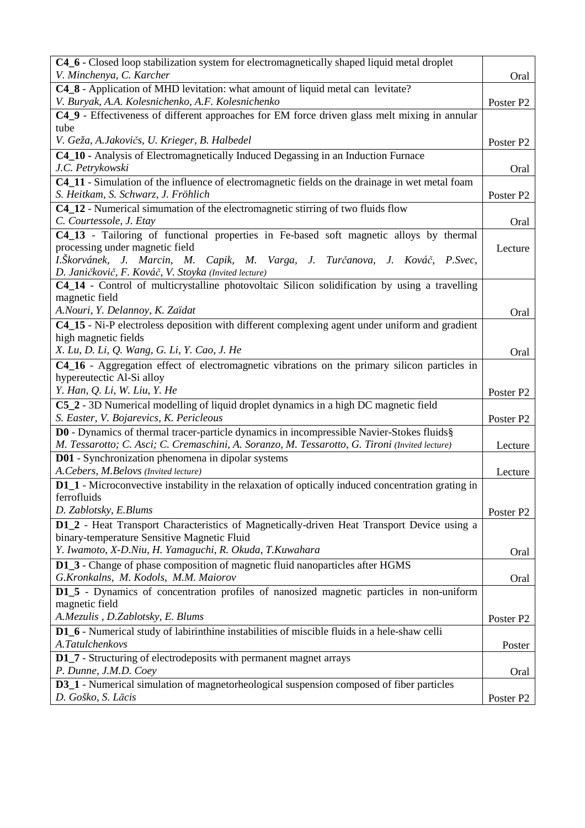| C4_6 - Closed loop stabilization system for electromagnetically shaped liquid metal droplet                                                                                                 |                       |
|---------------------------------------------------------------------------------------------------------------------------------------------------------------------------------------------|-----------------------|
| V. Minchenya, C. Karcher                                                                                                                                                                    | Oral                  |
| C4_8 - Application of MHD levitation: what amount of liquid metal can levitate?                                                                                                             |                       |
| V. Buryak, A.A. Kolesnichenko, A.F. Kolesnichenko<br>C4_9 - Effectiveness of different approaches for EM force driven glass melt mixing in annular                                          | Poster P <sub>2</sub> |
| tube                                                                                                                                                                                        |                       |
| V. Geža, A.Jakovičs, U. Krieger, B. Halbedel                                                                                                                                                | Poster P <sub>2</sub> |
| C4_10 - Analysis of Electromagnetically Induced Degassing in an Induction Furnace                                                                                                           |                       |
| J.C. Petrykowski                                                                                                                                                                            | Oral                  |
| C4_11 - Simulation of the influence of electromagnetic fields on the drainage in wet metal foam                                                                                             |                       |
| S. Heitkam, S. Schwarz, J. Fröhlich                                                                                                                                                         | Poster P <sub>2</sub> |
| C4_12 - Numerical simumation of the electromagnetic stirring of two fluids flow                                                                                                             |                       |
| C. Courtessole, J. Etay                                                                                                                                                                     | Oral                  |
| C4_13 - Tailoring of functional properties in Fe-based soft magnetic alloys by thermal                                                                                                      |                       |
| processing under magnetic field<br>I.Škorvánek, J. Marcin, M. Capik, M. Varga, J. Turčanova, J. Kováč, P.Svec,                                                                              | Lecture               |
| D. Janičkovič, F. Kováč, V. Stoyka (Invited lecture)                                                                                                                                        |                       |
| C4_14 - Control of multicrystalline photovoltaic Silicon solidification by using a travelling                                                                                               |                       |
| magnetic field                                                                                                                                                                              |                       |
| A.Nouri, Y. Delannoy, K. Zaïdat                                                                                                                                                             | Oral                  |
| C4_15 - Ni-P electroless deposition with different complexing agent under uniform and gradient                                                                                              |                       |
| high magnetic fields                                                                                                                                                                        |                       |
| X. Lu, D. Li, Q. Wang, G. Li, Y. Cao, J. He                                                                                                                                                 | Oral                  |
| C4_16 - Aggregation effect of electromagnetic vibrations on the primary silicon particles in                                                                                                |                       |
| hypereutectic Al-Si alloy                                                                                                                                                                   |                       |
| Y. Han, Q. Li, W. Liu, Y. He                                                                                                                                                                | Poster P <sub>2</sub> |
| C5_2 - 3D Numerical modelling of liquid droplet dynamics in a high DC magnetic field                                                                                                        |                       |
| S. Easter, V. Bojarevics, K. Pericleous                                                                                                                                                     | Poster P <sub>2</sub> |
| D0 - Dynamics of thermal tracer-particle dynamics in incompressible Navier-Stokes fluids§<br>M. Tessarotto; C. Asci; C. Cremaschini, A. Soranzo, M. Tessarotto, G. Tironi (Invited lecture) |                       |
| <b>D01</b> - Synchronization phenomena in dipolar systems                                                                                                                                   | Lecture               |
| A. Cebers, M. Belovs (Invited lecture)                                                                                                                                                      | Lecture               |
| D1_1 - Microconvective instability in the relaxation of optically induced concentration grating in                                                                                          |                       |
| ferrofluids                                                                                                                                                                                 |                       |
| D. Zablotsky, E.Blums                                                                                                                                                                       | Poster P <sub>2</sub> |
| D1_2 - Heat Transport Characteristics of Magnetically-driven Heat Transport Device using a                                                                                                  |                       |
| binary-temperature Sensitive Magnetic Fluid                                                                                                                                                 |                       |
| Y. Iwamoto, X-D.Niu, H. Yamaguchi, R. Okuda, T.Kuwahara                                                                                                                                     | Oral                  |
| D1_3 - Change of phase composition of magnetic fluid nanoparticles after HGMS                                                                                                               |                       |
| G.Kronkalns, M. Kodols, M.M. Maiorov                                                                                                                                                        | Oral                  |
| D1_5 - Dynamics of concentration profiles of nanosized magnetic particles in non-uniform                                                                                                    |                       |
| magnetic field<br>A.Mezulis, D.Zablotsky, E. Blums                                                                                                                                          |                       |
|                                                                                                                                                                                             |                       |
|                                                                                                                                                                                             | Poster P <sub>2</sub> |
| <b>D1_6</b> - Numerical study of labirinthine instabilities of miscible fluids in a hele-shaw celli                                                                                         |                       |
| A.Tatulchenkovs                                                                                                                                                                             | Poster                |
| <b>D1_7</b> - Structuring of electrodeposits with permanent magnet arrays                                                                                                                   |                       |
| P. Dunne, J.M.D. Coey<br><b>D3_1</b> - Numerical simulation of magnetorheological suspension composed of fiber particles                                                                    | Oral                  |